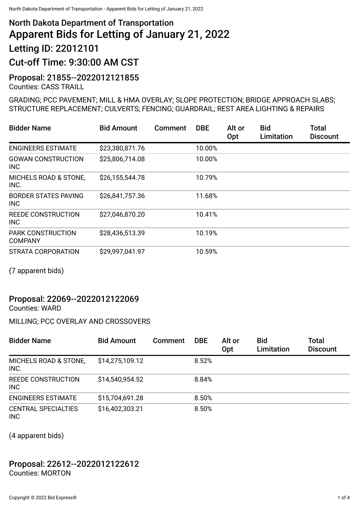# North Dakota Department of Transportation Apparent Bids for Letting of January 21, 2022 Letting ID: 22012101 Cut-off Time: 9:30:00 AM CST

## Proposal: 21855--2022012121855

Counties: CASS TRAILL

#### GRADING; PCC PAVEMENT; MILL & HMA OVERLAY; SLOPE PROTECTION; BRIDGE APPROACH SLABS; STRUCTURE REPLACEMENT; CULVERTS; FENCING; GUARDRAIL; REST AREA LIGHTING & REPAIRS

| <b>Bidder Name</b>                        | <b>Bid Amount</b> | Comment | <b>DBE</b> | Alt or<br>Opt | <b>Bid</b><br>Limitation | <b>Total</b><br><b>Discount</b> |
|-------------------------------------------|-------------------|---------|------------|---------------|--------------------------|---------------------------------|
| <b>ENGINEERS ESTIMATE</b>                 | \$23,380,871.76   |         | 10.00%     |               |                          |                                 |
| <b>GOWAN CONSTRUCTION</b><br><b>INC</b>   | \$25,806,714.08   |         | 10.00%     |               |                          |                                 |
| MICHELS ROAD & STONE,<br>INC.             | \$26,155,544.78   |         | 10.79%     |               |                          |                                 |
| <b>BORDER STATES PAVING</b><br><b>INC</b> | \$26,841,757.36   |         | 11.68%     |               |                          |                                 |
| <b>REEDE CONSTRUCTION</b><br><b>INC</b>   | \$27,046,870.20   |         | 10.41%     |               |                          |                                 |
| PARK CONSTRUCTION<br><b>COMPANY</b>       | \$28,436,513.39   |         | 10.19%     |               |                          |                                 |
| STRATA CORPORATION                        | \$29,997,041.97   |         | 10.59%     |               |                          |                                 |

(7 apparent bids)

## Proposal: 22069--2022012122069

Counties: WARD

MILLING; PCC OVERLAY AND CROSSOVERS

| <b>Bidder Name</b>                       | <b>Bid Amount</b> | Comment | <b>DBE</b> | Alt or<br>Opt | <b>Bid</b><br>Limitation | <b>Total</b><br><b>Discount</b> |
|------------------------------------------|-------------------|---------|------------|---------------|--------------------------|---------------------------------|
| MICHELS ROAD & STONE,<br>INC.            | \$14,275,109.12   |         | 8.52%      |               |                          |                                 |
| <b>REEDE CONSTRUCTION</b><br><b>INC</b>  | \$14,540,954.52   |         | 8.84%      |               |                          |                                 |
| <b>ENGINEERS ESTIMATE</b>                | \$15,704,691.28   |         | 8.50%      |               |                          |                                 |
| <b>CENTRAL SPECIALTIES</b><br><b>INC</b> | \$16,402,303.21   |         | 8.50%      |               |                          |                                 |

(4 apparent bids)

#### Proposal: 22612--2022012122612 Counties: MORTON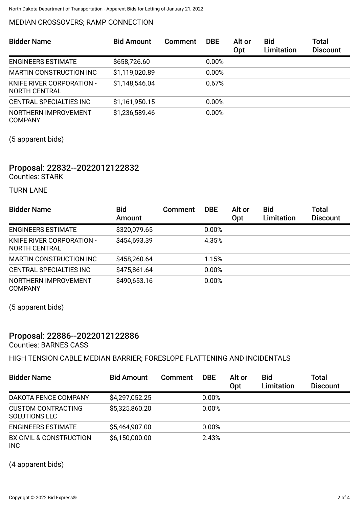#### MEDIAN CROSSOVERS; RAMP CONNECTION

| <b>Bidder Name</b>                                | <b>Bid Amount</b> | Comment | <b>DBE</b> | Alt or<br>Opt | <b>Bid</b><br><b>Limitation</b> | Total<br><b>Discount</b> |
|---------------------------------------------------|-------------------|---------|------------|---------------|---------------------------------|--------------------------|
| <b>ENGINEERS ESTIMATE</b>                         | \$658,726.60      |         | 0.00%      |               |                                 |                          |
| MARTIN CONSTRUCTION INC                           | \$1,119,020.89    |         | 0.00%      |               |                                 |                          |
| KNIFE RIVER CORPORATION -<br><b>NORTH CENTRAL</b> | \$1,148,546.04    |         | 0.67%      |               |                                 |                          |
| <b>CENTRAL SPECIALTIES INC</b>                    | \$1,161,950.15    |         | 0.00%      |               |                                 |                          |
| NORTHERN IMPROVEMENT<br><b>COMPANY</b>            | \$1,236,589.46    |         | 0.00%      |               |                                 |                          |

(5 apparent bids)

## Proposal: 22832--2022012122832

Counties: STARK

TURN LANE

| <b>Bidder Name</b>                                | <b>Bid</b><br>Amount | Comment | <b>DBE</b> | Alt or<br>Opt | <b>Bid</b><br>Limitation | Total<br><b>Discount</b> |
|---------------------------------------------------|----------------------|---------|------------|---------------|--------------------------|--------------------------|
| <b>ENGINEERS ESTIMATE</b>                         | \$320,079.65         |         | 0.00%      |               |                          |                          |
| KNIFE RIVER CORPORATION -<br><b>NORTH CENTRAL</b> | \$454,693.39         |         | 4.35%      |               |                          |                          |
| MARTIN CONSTRUCTION INC                           | \$458,260.64         |         | 1.15%      |               |                          |                          |
| CENTRAL SPECIALTIES INC                           | \$475,861.64         |         | 0.00%      |               |                          |                          |
| NORTHERN IMPROVEMENT<br><b>COMPANY</b>            | \$490,653.16         |         | 0.00%      |               |                          |                          |

(5 apparent bids)

### Proposal: 22886--2022012122886

Counties: BARNES CASS

HIGH TENSION CABLE MEDIAN BARRIER; FORESLOPE FLATTENING AND INCIDENTALS

| <b>Bidder Name</b>                               | <b>Bid Amount</b> | <b>Comment</b> | <b>DBE</b> | Alt or<br>Opt | <b>Bid</b><br>Limitation | <b>Total</b><br><b>Discount</b> |
|--------------------------------------------------|-------------------|----------------|------------|---------------|--------------------------|---------------------------------|
| DAKOTA FENCE COMPANY                             | \$4,297,052.25    |                | 0.00%      |               |                          |                                 |
| <b>CUSTOM CONTRACTING</b><br>SOLUTIONS LLC       | \$5,325,860.20    |                | 0.00%      |               |                          |                                 |
| <b>ENGINEERS ESTIMATE</b>                        | \$5,464,907.00    |                | 0.00%      |               |                          |                                 |
| <b>BX CIVIL &amp; CONSTRUCTION</b><br><b>INC</b> | \$6,150,000.00    |                | 2.43%      |               |                          |                                 |

(4 apparent bids)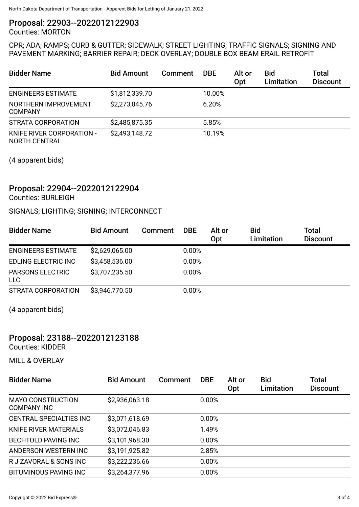#### Proposal: 22903--2022012122903

Counties: MORTON

#### CPR; ADA; RAMPS; CURB & GUTTER; SIDEWALK; STREET LIGHTING; TRAFFIC SIGNALS; SIGNING AND PAVEMENT MARKING; BARRIER REPAIR; DECK OVERLAY; DOUBLE BOX BEAM ERAIL RETROFIT

| <b>Bidder Name</b>                                | <b>Bid Amount</b> | Comment | <b>DBE</b> | Alt or<br>Opt | <b>Bid</b><br>Limitation | Total<br><b>Discount</b> |
|---------------------------------------------------|-------------------|---------|------------|---------------|--------------------------|--------------------------|
| <b>ENGINEERS ESTIMATE</b>                         | \$1,812,339.70    |         | 10.00%     |               |                          |                          |
| NORTHERN IMPROVEMENT<br><b>COMPANY</b>            | \$2,273,045.76    |         | 6.20%      |               |                          |                          |
| STRATA CORPORATION                                | \$2,485,875.35    |         | 5.85%      |               |                          |                          |
| KNIFE RIVER CORPORATION -<br><b>NORTH CENTRAL</b> | \$2,493,148.72    |         | 10.19%     |               |                          |                          |

(4 apparent bids)

## Proposal: 22904--2022012122904

Counties: BURLEIGH

#### SIGNALS; LIGHTING; SIGNING; INTERCONNECT

| <b>Bidder Name</b>             | <b>Bid Amount</b> | Comment | <b>DBE</b> | Alt or<br>Opt | <b>Bid</b><br>Limitation | <b>Total</b><br><b>Discount</b> |
|--------------------------------|-------------------|---------|------------|---------------|--------------------------|---------------------------------|
| <b>ENGINEERS ESTIMATE</b>      | \$2,629,065.00    |         | 0.00%      |               |                          |                                 |
| EDLING ELECTRIC INC            | \$3,458,536.00    |         | 0.00%      |               |                          |                                 |
| <b>PARSONS ELECTRIC</b><br>LLC | \$3,707,235.50    |         | 0.00%      |               |                          |                                 |
| STRATA CORPORATION             | \$3,946,770.50    |         | 0.00%      |               |                          |                                 |

(4 apparent bids)

## Proposal: 23188--2022012123188

Counties: KIDDER

MILL & OVERLAY

| <b>Bidder Name</b>                             | <b>Bid Amount</b> | Comment | <b>DBE</b> | Alt or<br>Opt | <b>Bid</b><br>Limitation | <b>Total</b><br><b>Discount</b> |
|------------------------------------------------|-------------------|---------|------------|---------------|--------------------------|---------------------------------|
| <b>MAYO CONSTRUCTION</b><br><b>COMPANY INC</b> | \$2,936,063.18    |         | 0.00%      |               |                          |                                 |
| <b>CENTRAL SPECIALTIES INC</b>                 | \$3,071,618.69    |         | 0.00%      |               |                          |                                 |
| KNIFE RIVER MATERIALS                          | \$3,072,046.83    |         | 1.49%      |               |                          |                                 |
| <b>BECHTOLD PAVING INC</b>                     | \$3,101,968.30    |         | 0.00%      |               |                          |                                 |
| ANDERSON WESTERN INC                           | \$3,191,925.82    |         | 2.85%      |               |                          |                                 |
| R J ZAVORAL & SONS INC                         | \$3,222,236.66    |         | 0.00%      |               |                          |                                 |
| <b>BITUMINOUS PAVING INC</b>                   | \$3,264,377.96    |         | 0.00%      |               |                          |                                 |